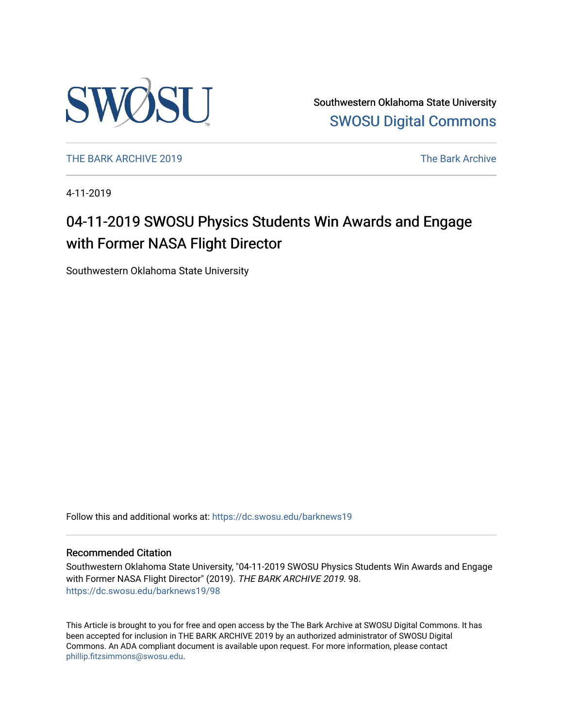

Southwestern Oklahoma State University [SWOSU Digital Commons](https://dc.swosu.edu/) 

[THE BARK ARCHIVE 2019](https://dc.swosu.edu/barknews19) The Bark Archive

4-11-2019

# 04-11-2019 SWOSU Physics Students Win Awards and Engage with Former NASA Flight Director

Southwestern Oklahoma State University

Follow this and additional works at: [https://dc.swosu.edu/barknews19](https://dc.swosu.edu/barknews19?utm_source=dc.swosu.edu%2Fbarknews19%2F98&utm_medium=PDF&utm_campaign=PDFCoverPages)

#### Recommended Citation

Southwestern Oklahoma State University, "04-11-2019 SWOSU Physics Students Win Awards and Engage with Former NASA Flight Director" (2019). THE BARK ARCHIVE 2019. 98. [https://dc.swosu.edu/barknews19/98](https://dc.swosu.edu/barknews19/98?utm_source=dc.swosu.edu%2Fbarknews19%2F98&utm_medium=PDF&utm_campaign=PDFCoverPages) 

This Article is brought to you for free and open access by the The Bark Archive at SWOSU Digital Commons. It has been accepted for inclusion in THE BARK ARCHIVE 2019 by an authorized administrator of SWOSU Digital Commons. An ADA compliant document is available upon request. For more information, please contact [phillip.fitzsimmons@swosu.edu](mailto:phillip.fitzsimmons@swosu.edu).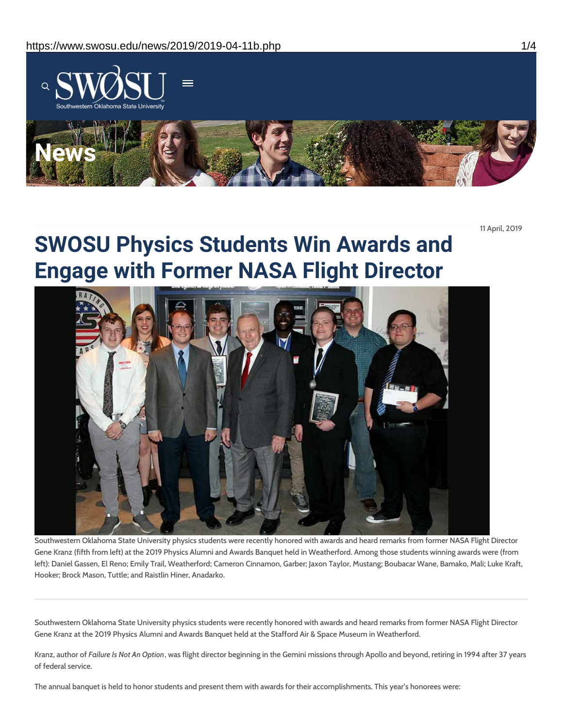

11 April, 2019

# **SWOSU Physics Students Win Awards and Engage with Former NASA Flight Director**



Southwestern Oklahoma State University physics students were recently honored with awards and heard remarks from former NASA Flight Director Gene Kranz (fifth from left) at the 2019 Physics Alumni and Awards Banquet held in Weatherford. Among those students winning awards were (from left): Daniel Gassen, El Reno; Emily Trail, Weatherford; Cameron Cinnamon, Garber; Jaxon Taylor, Mustang; Boubacar Wane, Bamako, Mali; Luke Kraft, Hooker; Brock Mason, Tuttle; and Raistlin Hiner, Anadarko.

Southwestern Oklahoma State University physics students were recently honored with awards and heard remarks from former NASA Flight Director Gene Kranz at the 2019 Physics Alumni and Awards Banquet held at the Stafford Air & Space Museum in Weatherford.

Kranz, author of *Failure Is Not An Option*, was flight director beginning in the Gemini missions through Apollo and beyond, retiring in 1994 after 37 years of federal service.

The annual banquet is held to honor students and present them with awards for their accomplishments. This year's honorees were: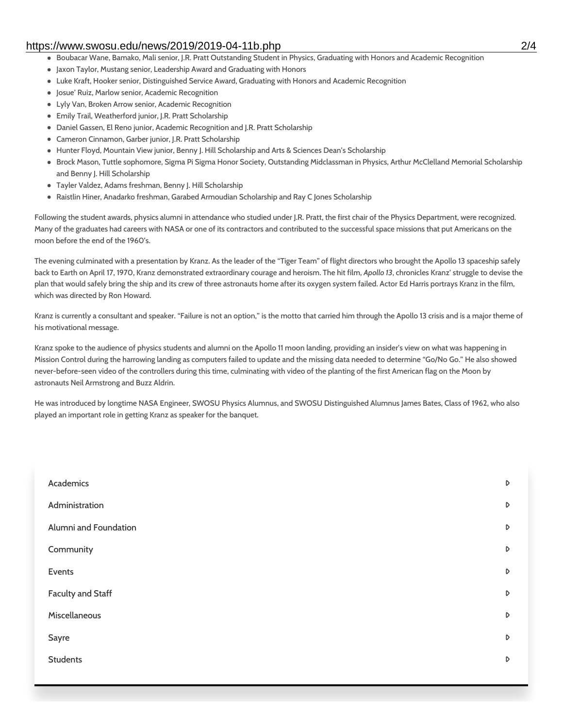#### https://www.swosu.edu/news/2019/2019-04-11b.php 2/4

- **Boubacar Wane, Bamako, Mali senior, J.R. Pratt Outstanding Student in Physics, Graduating with Honors and Academic Recognition**
- Jaxon Taylor, Mustang senior, Leadership Award and Graduating with Honors
- Luke Kraft, Hooker senior, Distinguished Service Award, Graduating with Honors and Academic Recognition
- Josue' Ruiz, Marlow senior, Academic Recognition
- Lyly Van, Broken Arrow senior, Academic Recognition
- Emily Trail, Weatherford junior, J.R. Pratt Scholarship
- Daniel Gassen, El Reno junior, Academic Recognition and J.R. Pratt Scholarship
- Cameron Cinnamon, Garber junior, J.R. Pratt Scholarship
- Hunter Floyd, Mountain View junior, Benny J. Hill Scholarship and Arts & Sciences Dean's Scholarship
- Brock Mason, Tuttle sophomore, Sigma Pi Sigma Honor Society, Outstanding Midclassman in Physics, Arthur McClelland Memorial Scholarship and Benny J. Hill Scholarship
- Tayler Valdez, Adams freshman, Benny J. Hill Scholarship
- Raistlin Hiner, Anadarko freshman, Garabed Armoudian Scholarship and Ray C Jones Scholarship

Following the student awards, physics alumni in attendance who studied under J.R. Pratt, the first chair of the Physics Department, were recognized. Many of the graduates had careers with NASA or one of its contractors and contributed to the successful space missions that put Americans on the moon before the end of the 1960's.

The evening culminated with a presentation by Kranz. As the leader of the "Tiger Team" of flight directors who brought the Apollo 13 spaceship safely back to Earth on April 17, 1970, Kranz demonstrated extraordinary courage and heroism. The hit film, *Apollo 13*, chronicles Kranz' struggle to devise the plan that would safely bring the ship and its crew of three astronauts home after its oxygen system failed. Actor Ed Harris portrays Kranz in the film, which was directed by Ron Howard.

Kranz is currently a consultant and speaker. "Failure is not an option," is the motto that carried him through the Apollo 13 crisis and is a major theme of his motivational message.

Kranz spoke to the audience of physics students and alumni on the Apollo 11 moon landing, providing an insider's view on what was happening in Mission Control during the harrowing landing as computers failed to update and the missing data needed to determine "Go/No Go." He also showed never-before-seen video of the controllers during this time, culminating with video of the planting of the first American flag on the Moon by astronauts Neil Armstrong and Buzz Aldrin.

He was introduced by longtime NASA Engineer, SWOSU Physics Alumnus, and SWOSU Distinguished Alumnus James Bates, Class of 1962, who also played an important role in getting Kranz as speaker for the banquet.

| Academics                | D                |
|--------------------------|------------------|
| Administration           | D                |
| Alumni and Foundation    | D                |
| Community                | D                |
| Events                   | D                |
| <b>Faculty and Staff</b> | D                |
| Miscellaneous            | $\triangleright$ |
| Sayre                    | $\triangleright$ |
| <b>Students</b>          | D                |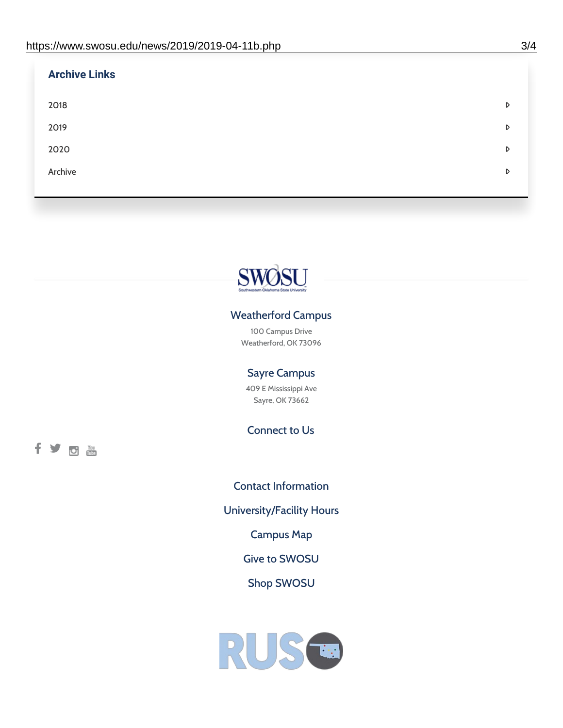| <b>Archive Links</b> |   |
|----------------------|---|
| 2018                 | D |
| 2019                 | D |
| 2020                 | D |
| Archive              | D |
|                      |   |



## Weatherford Campus

100 Campus Drive Weatherford, OK 73096

### Sayre Campus

409 E Mississippi Ave Sayre, OK 73662

Connect to Us

fyom

Contact [Information](https://www.swosu.edu/about/contact.php) [University/Facility](https://www.swosu.edu/about/operating-hours.php) Hours [Campus](https://map.concept3d.com/?id=768#!ct/10964,10214,10213,10212,10205,10204,10203,10202,10136,10129,10128,0,31226,10130,10201,10641,0) Map Give to [SWOSU](https://standingfirmly.com/donate) Shop [SWOSU](https://shopswosu.merchorders.com/)